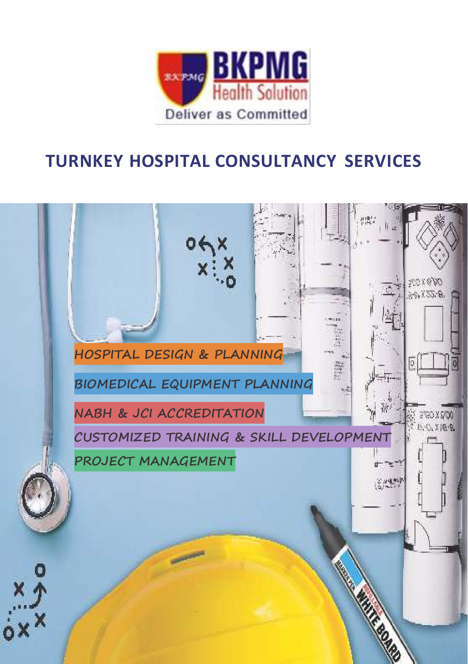

### **TURNKEY HOSPITAL CONSULTANCY SERVICES**

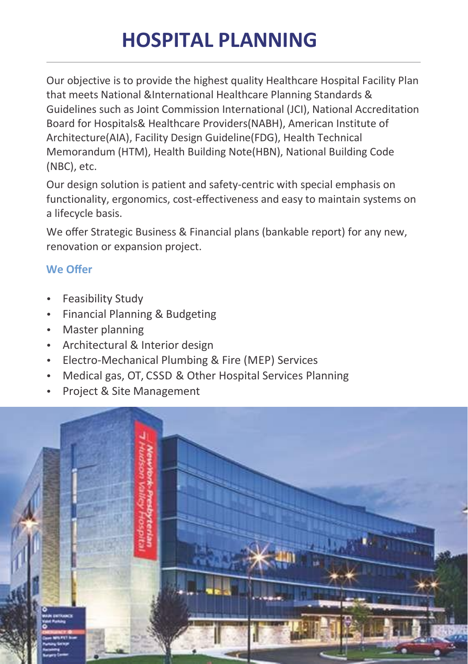# **HOSPITAL PLANNING**

Our objective is to provide the highest quality Healthcare Hospital Facility Plan that meets National &International Healthcare Planning Standards & Guidelines such as Joint Commission International (JCI), National Accreditation Board for Hospitals& Healthcare Providers(NABH), American Institute of Architecture(AIA), Facility Design Guideline(FDG), Health Technical Memorandum (HTM), Health Building Note(HBN), National Building Code (NBC), etc.

Our design solution is patient and safety-centric with special emphasis on functionality, ergonomics, cost‐effectiveness and easy to maintain systems on a lifecycle basis.

We offer Strategic Business & Financial plans (bankable report) for any new, renovation or expansion project.

### **We Offer**

- Feasibility Study
- Financial Planning & Budgeting
- Master planning
- Architectural & Interior design
- Electro‐Mechanical Plumbing & Fire (MEP) Services
- Medical gas, OT, CSSD & Other Hospital Services Planning
- Project & Site Management

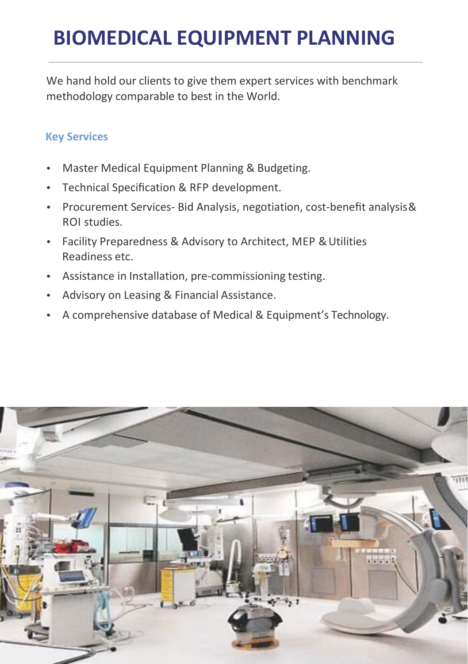## **BIOMEDICAL EQUIPMENT PLANNING**

We hand hold our clients to give them expert services with benchmark methodology comparable to best in the World.

### **Key Services**

- Master Medical Equipment Planning & Budgeting.
- Technical Specification & RFP development.
- Procurement Services- Bid Analysis, negotiation, cost-benefit analysis& ROI studies.
- Facility Preparedness & Advisory to Architect, MEP & Utilities Readiness etc.
- Assistance in Installation, pre‐commissioning testing.
- Advisory on Leasing & Financial Assistance.
- A comprehensive database of Medical & Equipment's Technology.

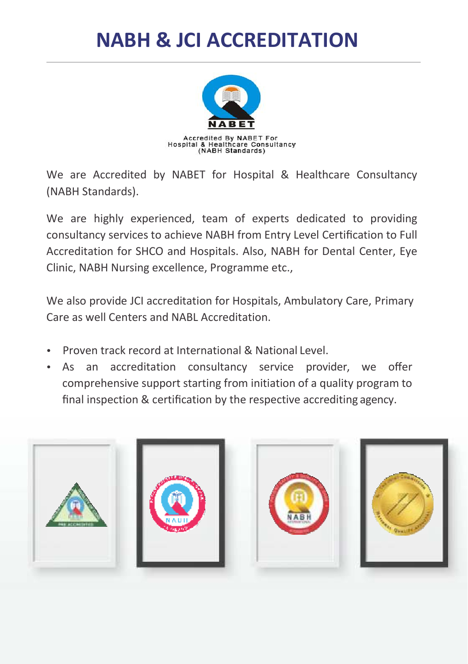## **NABH & JCI ACCREDITATION**



We are Accredited by NABET for Hospital & Healthcare Consultancy (NABH Standards).

We are highly experienced, team of experts dedicated to providing consultancy services to achieve NABH from Entry Level Certification to Full Accreditation for SHCO and Hospitals. Also, NABH for Dental Center, Eye Clinic, NABH Nursing excellence, Programme etc.,

We also provide JCI accreditation for Hospitals, Ambulatory Care, Primary Care as well Centers and NABL Accreditation.

- Proven track record at International & National Level.
- As an accreditation consultancy service provider, we offer comprehensive support starting from initiation of a quality program to final inspection & certification by the respective accrediting agency.

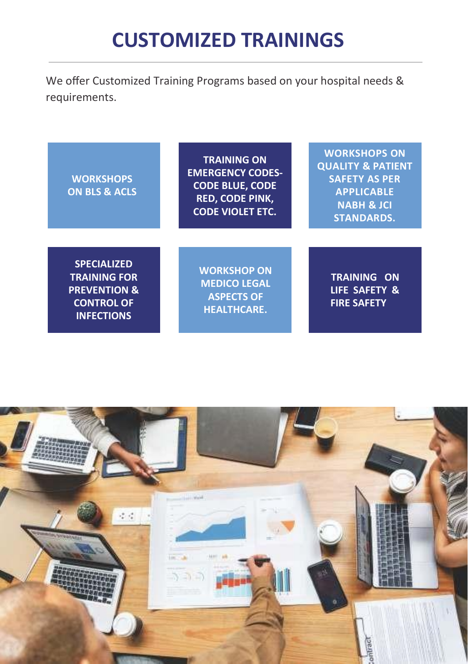## **CUSTOMIZED TRAININGS**

We offer Customized Training Programs based on your hospital needs & requirements.

| <b>WORKSHOPS</b><br><b>ON BLS &amp; ACLS</b>                                                                   | <b>TRAINING ON</b><br><b>EMERGENCY CODES-</b><br><b>CODE BLUE, CODE</b><br><b>RED, CODE PINK,</b><br><b>CODE VIOLET ETC.</b> | <b>WORKSHOPS ON</b><br><b>QUALITY &amp; PATIENT</b><br><b>SAFETY AS PER</b><br><b>APPLICABLE</b><br><b>NABH &amp; JCI</b><br><b>STANDARDS.</b> |
|----------------------------------------------------------------------------------------------------------------|------------------------------------------------------------------------------------------------------------------------------|------------------------------------------------------------------------------------------------------------------------------------------------|
| <b>SPECIALIZED</b><br><b>TRAINING FOR</b><br><b>PREVENTION &amp;</b><br><b>CONTROL OF</b><br><b>INFECTIONS</b> | <b>WORKSHOP ON</b><br><b>MEDICO LEGAL</b><br><b>ASPECTS OF</b><br><b>HEALTHCARE.</b>                                         | <b>TRAINING ON</b><br>LIFE SAFETY &<br><b>FIRE SAFETY</b>                                                                                      |

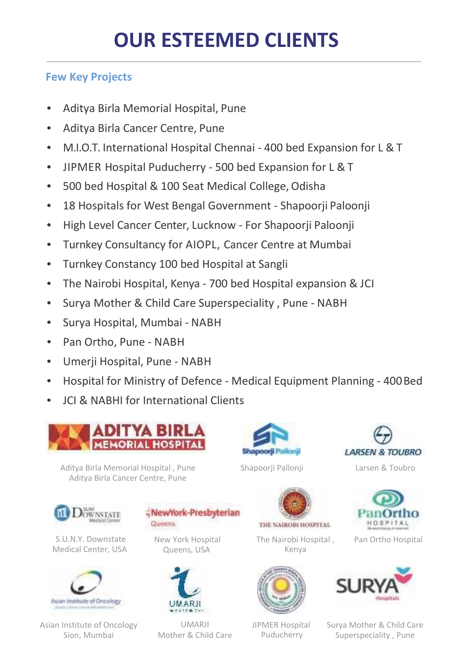### **Few Key Projects**

- Aditya Birla Memorial Hospital, Pune
- Aditya Birla Cancer Centre, Pune
- M.I.O.T. International Hospital Chennai ‐ 400 bed Expansion for L & T
- JIPMER Hospital Puducherry ‐ 500 bed Expansion for L & T
- 500 bed Hospital & 100 Seat Medical College, Odisha
- 18 Hospitals for West Bengal Government Shapoorii Paloonji
- High Level Cancer Center, Lucknow For Shapoorii Paloonii
- Turnkey Consultancy for AIOPL, Cancer Centre at Mumbai
- Turnkey Constancy 100 bed Hospital at Sangli
- The Nairobi Hospital, Kenya ‐ 700 bed Hospital expansion & JCI
- Surya Mother & Child Care Superspeciality, Pune NABH
- Surya Hospital, Mumbai NABH
- Pan Ortho, Pune ‐ NABH
- Umerji Hospital, Pune ‐ NABH
- Hospital for Ministry of Defence Medical Equipment Planning 400 Bed
- JCI & NABHI for International Clients



Aditya Birla Memorial Hospital , Pune Aditya Birla Cancer Centre, Pune





S.U.N.Y. Downstate Medical Center, USA



Asian Institute of Oncology Sion, Mumbai

NewYork-Presbyterian **Queens** 

> New York Hospital Queens, USA



UMARJI Mother & Child Care



The Nairobi Hospital , Kenya







Pan Ortho Hospital



JIPMER Hospital Puducherry

Surya Mother & Child Care Superspeciality , Pune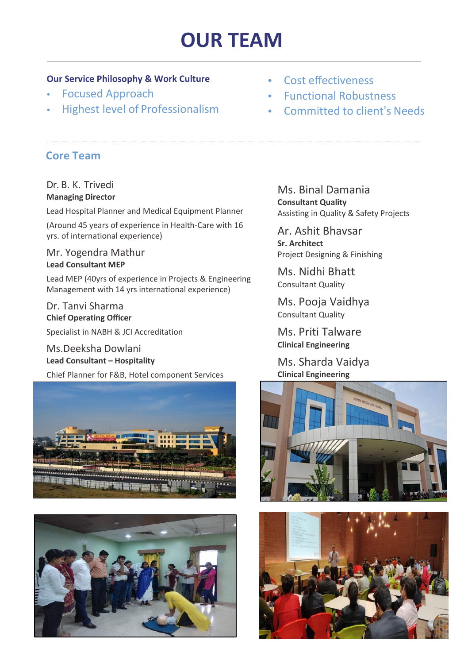## **OUR TEAM**

#### **Our Service Philosophy & Work Culture**

- Focused Approach
- Highest level of Professionalism

#### **Core Team**

#### Dr. B. K. Trivedi **Managing Director**

Lead Hospital Planner and Medical Equipment Planner

(Around 45 years of experience in Health‐Care with 16 yrs. of international experience)

Mr. Yogendra Mathur **Lead Consultant MEP**

Lead MEP (40yrs of experience in Projects & Engineering Management with 14 yrs international experience)

#### Dr. Tanvi Sharma **Chief Operating Officer**

Specialist in NABH & JCI Accreditation

Ms.Deeksha Dowlani **Lead Consultant – Hospitality**

Chief Planner for F&B, Hotel component Services





Cost effectiveness

- Functional Robustness
- Committed to client's Needs

Ms. Binal Damania **Consultant Quality** Assisting in Quality & Safety Projects

Ar. Ashit Bhavsar **Sr. Architect** Project Designing & Finishing

Ms. Nidhi Bhatt Consultant Quality

Ms. Pooja Vaidhya Consultant Quality

Ms. Priti Talware **Clinical Engineering**

Ms. Sharda Vaidya **Clinical Engineering**